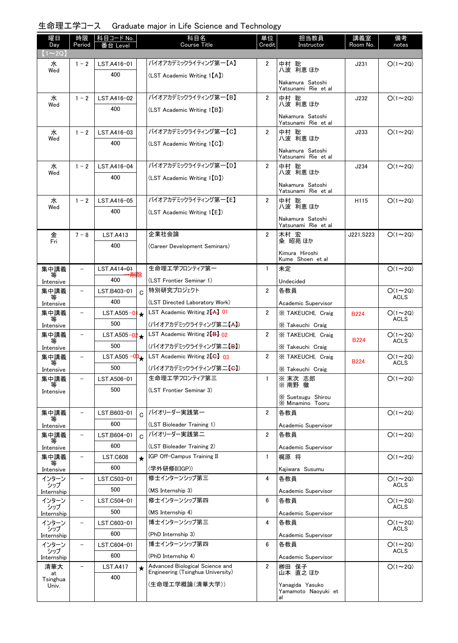## 生命理工学コース Graduate major in Life Science and Technology

| 曜日<br>Day         | 時限<br>Period             | │科目コード No.<br>番台 Level             |         | 科目名<br><b>Course Title</b>                            | 単位<br>Credit   | 担当教員<br>Instructor                      | 講義室<br>Room No. | 備考<br>notes                  |
|-------------------|--------------------------|------------------------------------|---------|-------------------------------------------------------|----------------|-----------------------------------------|-----------------|------------------------------|
| $(1\sim2Q)$       |                          |                                    |         |                                                       |                |                                         |                 |                              |
| 水<br>Wed          | $1 - 2$                  | LST.A416-01                        |         | バイオアカデミックライティング第一【A】                                  | $\overline{2}$ | 中村 聡<br>八波 利恵ほか                         | J231            | $O(1\sim 2Q)$                |
|                   |                          | 400                                |         | (LST Academic Writing 1[A])                           |                | Nakamura Satoshi                        |                 |                              |
|                   |                          |                                    |         |                                                       |                | Yatsunami Rie et al                     |                 |                              |
| 水<br>Wed          | $1 - 2$                  | LST.A416-02                        |         | バイオアカデミックライティング第一【B】                                  | $\overline{2}$ | 中村 聡<br>八波 利恵 ほか                        | J232            | $O(1\sim 2Q)$                |
|                   |                          | 400                                |         | (LST Academic Writing 1[B])                           |                |                                         |                 |                              |
|                   |                          |                                    |         |                                                       |                | Nakamura Satoshi<br>Yatsunami Rie et al |                 |                              |
| 水<br>Wed          | $1 - 2$                  | LST.A416-03                        |         | バイオアカデミックライティング第一【C】                                  | $\overline{2}$ | 中村 聡<br>八波 利恵ほか                         | J233            | $O(1\sim 2Q)$                |
|                   |                          | 400                                |         | (LST Academic Writing 1[C])                           |                |                                         |                 |                              |
|                   |                          |                                    |         |                                                       |                | Nakamura Satoshi<br>Yatsunami Rie et al |                 |                              |
| 水                 | $1 - 2$                  | LST.A416-04                        |         | バイオアカデミックライティング第一【D】                                  | $\overline{2}$ | 中村 聡                                    | J234            | $O(1\sim 2Q)$                |
| Wed               |                          | 400                                |         | (LST Academic Writing 1 [D])                          |                | 八波 利恵 ほか                                |                 |                              |
|                   |                          |                                    |         |                                                       |                | Nakamura Satoshi<br>Yatsunami Rie et al |                 |                              |
| 水                 | $1 - 2$                  | LST.A416-05                        |         | バイオアカデミックライティング第一【E】                                  | $\overline{2}$ | 中村 聡<br>八波 利恵ほか                         | H115            | $O(1\sim 2Q)$                |
| Wed               |                          | 400                                |         | (LST Academic Writing 1 [E])                          |                |                                         |                 |                              |
|                   |                          |                                    |         |                                                       |                | Nakamura Satoshi<br>Yatsunami Rie et al |                 |                              |
| 金<br>Fri          | $7 - 8$                  | <b>LST.A413</b>                    |         | 企業社会論                                                 | $\overline{2}$ | 木村 宏                                    | J221.S223       | $O(1\sim 2Q)$                |
|                   |                          | 400                                |         | (Career Development Seminars)                         |                | 粂 昭苑 ほか                                 |                 |                              |
|                   |                          |                                    |         |                                                       |                | Kimura Hiroshi<br>Kume Shoen et al      |                 |                              |
| 集中講義              |                          | LST.A414-01                        |         | 生命理エ学フロンティア第一                                         | $\mathbf{1}$   | 未定                                      |                 | $O(1\sim 2Q)$                |
| Intensive         |                          | 400                                |         | (LST Frontier Seminar 1)                              |                | Undecided                               |                 |                              |
| 集中講義              | $\qquad \qquad -$        | LST.B403-01                        | C       | 特別研究プロジェクト                                            | $\overline{2}$ | 各教員                                     |                 | $O(1 - 2Q)$                  |
| 等<br>Intensive    |                          | 400                                |         | (LST Directed Laboratory Work)                        |                | Academic Supervisor                     |                 | <b>ACLS</b>                  |
| 集中講義              | $\overline{\phantom{a}}$ | $LST.A505-0$                       | ╎╈      | LST Academic Writing 2 <sup>[A]</sup> 01              | $\overline{2}$ | X TAKEUCHI, Craig                       | <b>B224</b>     | $O(1\sim 2Q)$                |
| 等<br>Intensive    |                          | 500                                |         | (バイオアカデミックライティング第二【A】)                                |                | X Takeuchi Craig                        |                 | <b>ACLS</b>                  |
| 集中講義              | -                        | LST.A505 $-02 +$                   |         | LST Academic Writing 2 <sup>1</sup> B <sub>1</sub> 02 | $\overline{2}$ | X TAKEUCHI, Craig                       | <b>B224</b>     | $O(1\sim 2Q)$<br><b>ACLS</b> |
| Intensive         |                          | 500                                |         | (バイオアカデミックライティング第二 <del>【B】</del> )                   |                | X Takeuchi Craig                        |                 |                              |
| 集中講義<br>等         | $\qquad \qquad -$        | LST.A505 $-0$ <sup>3</sup> $\star$ |         | LST Academic Writing $2\left\{G\right\}$ 03           | $\overline{2}$ | X TAKEUCHI, Craig                       | <b>B224</b>     | $O(1\sim 2Q)$<br><b>ACLS</b> |
| Intensive         |                          | 500                                |         | (バイオアカデミックライティング第二【 <del>G】</del> )                   |                | X Takeuchi Craig                        |                 |                              |
| 集中講義              | $\overline{\phantom{m}}$ | LST.A506-01                        |         | 生命理エ学フロンティア第三                                         | $\mathbf{1}$   | ※ 末次 志郎<br>※ 南野 徹                       |                 | $O(1\sim 2Q)$                |
| Intensive         |                          | 500                                |         | (LST Frontier Seminar 3)                              |                | X Suetsugu Shirou                       |                 |                              |
|                   |                          |                                    |         |                                                       |                | X Minamino Tooru                        |                 |                              |
| 集中講義              | $\qquad \qquad -$        | LST.B603-01                        | Ć       | バイオリーダー実践第一                                           | $\overline{2}$ | 各教員                                     |                 | $O(1 \sim 2Q)$               |
| Intensive         |                          | 600                                |         | (LST Bioleader Training 1)                            |                | Academic Supervisor                     |                 |                              |
| 集中講義<br>等         | $\qquad \qquad -$        | LST.B604-01                        | Ć       | バイオリーダー実践第二                                           | $\overline{2}$ | 各教員                                     |                 | $O(1\sim 2Q)$                |
| Intensive         |                          | 600                                |         | (LST Bioleader Training 2)                            |                | Academic Supervisor                     |                 |                              |
| 集中講義              | -                        | <b>LST.C608</b>                    | $\star$ | IGP Off-Campus Training II                            | $\mathbf{1}$   | 梶原 将                                    |                 | $O(1\sim 2Q)$                |
| Intensive         |                          | 600                                |         | (学外研修II(IGP))                                         |                | Kajiwara Susumu                         |                 |                              |
| インターン<br>シップ      | $\overline{\phantom{0}}$ | LST.C503-01                        |         | 修士インターンシップ第三                                          | 4              | 各教員                                     |                 | $O(1\sim 2Q)$<br>ACLS        |
| Internship        |                          | 500                                |         | (MS Internship 3)                                     |                | Academic Supervisor                     |                 |                              |
| インターン<br>シップ      | $\qquad \qquad -$        | LST.C504-01                        |         | 修士インターンシップ第四                                          | 6              | 各教員                                     |                 | $O(1\sim 2Q)$<br>ACLS        |
| Internship        |                          | 500                                |         | (MS Internship 4)                                     |                | Academic Supervisor                     |                 |                              |
| インターン<br>シップ      | $\qquad \qquad -$        | LST.C603-01                        |         | 博士インターンシップ第三                                          | 4              | 各教員                                     |                 | $O(1\sim 2Q)$<br><b>ACLS</b> |
| Internship        |                          | 600                                |         | (PhD Internship 3)<br>博士インターンシップ第四                    |                | Academic Supervisor                     |                 |                              |
| インターン<br>シップ      | $\qquad \qquad -$        | LST.C604-01                        |         |                                                       | 6              | 各教員                                     |                 | $O(1\sim 2Q)$<br><b>ACLS</b> |
| Internship        | $\overline{\phantom{m}}$ | 600                                |         | (PhD Internship 4)<br>Advanced Biological Science and | $\overline{2}$ | Academic Supervisor<br>栁田 保子            |                 | $O(1\sim 2Q)$                |
| 清華大<br>at         |                          | <b>LST.A417</b><br>400             | $\star$ | Engineering (Tsinghua University)                     |                | 山本 直之 ほか                                |                 |                              |
| Tsinghua<br>Univ. |                          |                                    |         | (生命理工学概論(清華大学))                                       |                | Yanagida Yasuko                         |                 |                              |
|                   |                          |                                    |         |                                                       |                | Yamamoto Naoyuki et                     |                 |                              |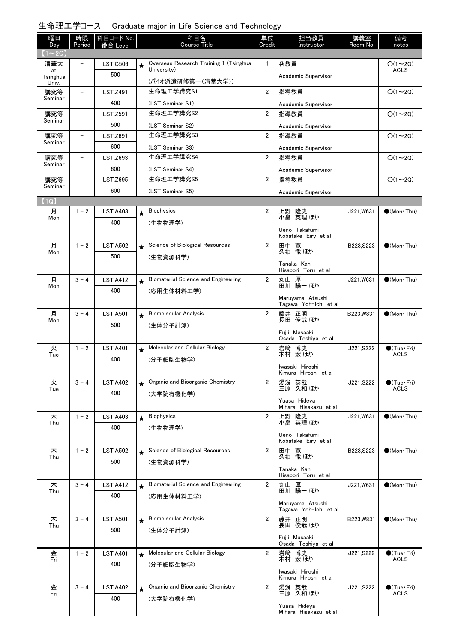## 生命理工学コース Graduate major in Life Science and Technology

| 曜日                  | 時限                       | 科目コード No.              |         | 科目名                                    | 単位             | 担当教員                                      | 講義室        | 備考                                    |
|---------------------|--------------------------|------------------------|---------|----------------------------------------|----------------|-------------------------------------------|------------|---------------------------------------|
| Day<br>$(1\sim 2Q)$ | Period                   | 番台 Level               |         | Course Title                           | Credit         | Instructor                                | Room No.   | notes                                 |
| 清華大                 |                          | <b>LST.C506</b>        | $\star$ | Overseas Research Training 1 (Tsinghua | 1              | 各教員                                       |            | $O(1\sim 2Q)$                         |
| at<br>Tsinghua      |                          | 500                    |         | University)                            |                | Academic Supervisor                       |            | <b>ACLS</b>                           |
| Univ.               |                          |                        |         | (バイオ派遣研修第一(清華大学))                      |                |                                           |            |                                       |
| 講究等<br>Seminar      | $\overline{\phantom{0}}$ | <b>LST.Z491</b>        |         | 生命理工学講究S1                              | $\overline{2}$ | 指導教員                                      |            | $O(1\sim 2Q)$                         |
| 講究等                 |                          | 400<br><b>LST.Z591</b> |         | (LST Seminar S1)<br>生命理工学講究S2          | $\overline{2}$ | Academic Supervisor<br>指導教員               |            | $O(1\sim 2Q)$                         |
| Seminar             |                          | 500                    |         | (LST Seminar S2)                       |                | Academic Supervisor                       |            |                                       |
| 講究等                 | $\overline{\phantom{0}}$ | LST.Z691               |         | 生命理工学講究S3                              | $\overline{2}$ | 指導教員                                      |            | $O(1\sim 2Q)$                         |
| Seminar             |                          | 600                    |         | (LST Seminar S3)                       |                | Academic Supervisor                       |            |                                       |
| 講究等                 | $\overline{\phantom{0}}$ | LST.Z693               |         | 生命理工学講究S4                              | $\overline{2}$ | 指導教員                                      |            | $O(1\sim 2Q)$                         |
| Seminar             |                          | 600                    |         | (LST Seminar S4)                       |                | Academic Supervisor                       |            |                                       |
| 講究等                 | $\overline{\phantom{0}}$ | <b>LST.Z695</b>        |         | 生命理工学講究S5                              | $\overline{2}$ | 指導教員                                      |            | $O(1\sim 2Q)$                         |
| Seminar             |                          | 600                    |         | (LST Seminar S5)                       |                | Academic Supervisor                       |            |                                       |
| (1Q)                |                          |                        |         |                                        |                |                                           |            |                                       |
| 月<br>Mon            | $1 - 2$                  | <b>LST.A403</b>        | $\star$ | <b>Biophysics</b>                      | $\mathbf{2}$   | 上野 隆史<br>小畠 英理 ほか                         | J221,W631  | $\bigcirc$ (Mon Thu)                  |
|                     |                          | 400                    |         | (生物物理学)                                |                | Ueno Takafumi                             |            |                                       |
|                     |                          |                        |         |                                        |                | Kobatake Eiry et al                       |            |                                       |
| 月<br>Mon            | $1 - 2$                  | <b>LST.A502</b>        | $\star$ | Science of Biological Resources        | $\overline{2}$ | 田中 寛<br>久堀 徹ほか                            | B223, S223 | $\bigcirc$ (Mon Thu)                  |
|                     |                          | 500                    |         | (生物資源科学)                               |                | Tanaka Kan                                |            |                                       |
|                     |                          |                        |         |                                        |                | Hisabori Toru et al                       |            |                                       |
| 月<br>Mon            | $3 - 4$                  | <b>LST.A412</b>        | $\star$ | Biomaterial Science and Engineering    | $\overline{2}$ | 丸山 厚<br>田川 陽一ほか                           | J221,W631  | $\bigcirc$ (Mon Thu)                  |
|                     |                          | 400                    |         | (応用生体材料工学)                             |                | Maruyama Atsushi                          |            |                                       |
|                     |                          |                        |         |                                        |                | Tagawa Yoh-Ichi et al                     |            |                                       |
| 月<br>Mon            | $3 - 4$                  | <b>LST.A501</b>        | $\star$ | <b>Biomolecular Analysis</b>           | $\overline{2}$ | 藤井 正明<br>長田 俊哉 ほか                         | B223.W831  | $\bigcirc$ (Mon Thu)                  |
|                     |                          | 500                    |         | (生体分子計測)                               |                | Fujii Masaaki                             |            |                                       |
|                     |                          |                        |         |                                        |                | Osada Toshiya et al                       |            |                                       |
| 火<br>Tue            | $1 - 2$                  | <b>LST.A401</b>        | $\star$ | Molecular and Cellular Biology         | $\overline{2}$ | 岩﨑 博史<br>木村 宏ほか                           | J221, S222 | $\bigcirc$ (Tue · Fri)<br><b>ACLS</b> |
|                     |                          | 400                    |         | (分子細胞生物学)                              |                | Iwasaki Hiroshi                           |            |                                       |
|                     |                          |                        |         |                                        |                | Kimura Hiroshi et al                      |            |                                       |
| 火<br>Tue            | $3 - 4$                  | <b>LST.A402</b>        | $\star$ | Organic and Bioorganic Chemistry       | $\overline{2}$ | 湯浅 英哉<br>三原 久和 ほか                         | J221, S222 | $\bullet$ (Tue · Fri)<br><b>ACLS</b>  |
|                     |                          | 400                    |         | (大学院有機化学)                              |                | Yuasa Hideya                              |            |                                       |
|                     |                          |                        |         | <b>Biophysics</b>                      | $\overline{2}$ | Mihara Hisakazu et al                     |            |                                       |
| 木<br>Thu            | $1 - 2$                  | <b>LST.A403</b><br>400 | $\star$ |                                        |                | 上野 隆史<br>小畠 英理ほか                          | J221, W631 | $\bigcirc$ (Mon Thu)                  |
|                     |                          |                        |         | (生物物理学)                                |                | Ueno Takafumi                             |            |                                       |
| 木                   | $1 - 2$                  | <b>LST.A502</b>        |         | Science of Biological Resources        | $\overline{2}$ | Kobatake Eiry et al                       | B223, S223 | $\bigcirc$ (Mon Thu)                  |
| Thu                 |                          | 500                    | $\star$ | (生物資源科学)                               |                | 田中 寛<br>久堀 徹ほか                            |            |                                       |
|                     |                          |                        |         |                                        |                | Tanaka Kan                                |            |                                       |
| 木                   | $3 - 4$                  | <b>LST.A412</b>        | $\star$ | Biomaterial Science and Engineering    | $\overline{2}$ | Hisabori Toru et al<br>丸山 厚               | J221,W631  | $\bigcirc$ (Mon Thu)                  |
| Thu                 |                          | 400                    |         | (応用生体材料工学)                             |                | 田川 陽一 ほか                                  |            |                                       |
|                     |                          |                        |         |                                        |                | Maruyama Atsushi<br>Tagawa Yoh-Ichi et al |            |                                       |
| 木                   | $3 - 4$                  | <b>LST.A501</b>        | $\star$ | <b>Biomolecular Analysis</b>           | 2              | 藤井 正明                                     | B223, W831 | $\bullet$ (Mon Thu)                   |
| Thu                 |                          | 500                    |         | (生体分子計測)                               |                | 長田 俊哉 ほか                                  |            |                                       |
|                     |                          |                        |         |                                        |                | Fujii Masaaki<br>Osada Toshiya et al      |            |                                       |
| 金                   | $1 - 2$                  | <b>LST.A401</b>        |         | Molecular and Cellular Biology         | $\overline{2}$ | 岩崎 博史                                     | J221, S222 | $\bigcirc$ (Tue · Fri)                |
| Fri                 |                          | 400                    |         | (分子細胞生物学)                              |                | 木村 宏 ほか                                   |            | ACLS                                  |
|                     |                          |                        |         |                                        |                | Iwasaki Hiroshi<br>Kimura Hiroshi et al   |            |                                       |
| 金                   | $3 - 4$                  | <b>LST.A402</b>        | $\star$ | Organic and Bioorganic Chemistry       | $\overline{2}$ | 湯浅 英哉<br>三原 久和ほか                          | J221, S222 | $\bigcirc$ (Tue · Fri)                |
| Fri                 |                          | 400                    |         | (大学院有機化学)                              |                |                                           |            | ACLS                                  |
|                     |                          |                        |         |                                        |                | Yuasa Hideya<br>Mihara Hisakazu et al     |            |                                       |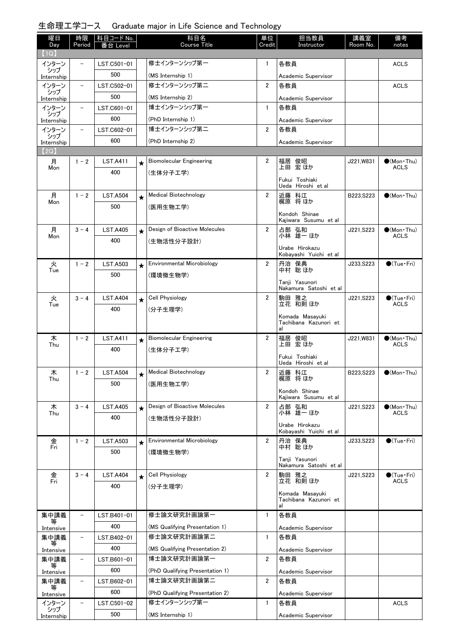## 生命理工学コース Graduate major in Life Science and Technology

| 曜日                | 時限                       | 科目コード No.       |         | 科目名                             | 単位             | 担当教員                                     | 講義室        | 備考                                 |
|-------------------|--------------------------|-----------------|---------|---------------------------------|----------------|------------------------------------------|------------|------------------------------------|
| Day<br>(1Q)       | Period                   | 番台 Level        |         | <b>Course Title</b>             | Credit         | Instructor                               | Room No.   | notes                              |
| インターン             |                          | LST.C501-01     |         | 修士インターンシップ第一                    | 1              | 各教員                                      |            | <b>ACLS</b>                        |
| シップ<br>Internship |                          | 500             |         | (MS Internship 1)               |                | Academic Supervisor                      |            |                                    |
| インターン             |                          | LST.C502-01     |         | 修士インターンシップ第二                    | $\overline{2}$ | 各教員                                      |            | <b>ACLS</b>                        |
| シップ<br>Internship |                          | 500             |         | (MS Internship 2)               |                | Academic Supervisor                      |            |                                    |
| インターン             | $\overline{\phantom{a}}$ | LST.C601-01     |         | 博士インターンシップ第一                    | $\mathbf{1}$   | 各教員                                      |            |                                    |
| シップ<br>Internship |                          | 600             |         | (PhD Internship 1)              |                | Academic Supervisor                      |            |                                    |
| インターン             | $\overline{\phantom{a}}$ | LST.C602-01     |         | 博士インターンシップ第二                    | $\overline{2}$ | 各教員                                      |            |                                    |
| シップ<br>Internship |                          | 600             |         | (PhD Internship 2)              |                | Academic Supervisor                      |            |                                    |
| 【2Q】              |                          |                 |         |                                 |                |                                          |            |                                    |
| 月                 | $1 - 2$                  | <b>LST.A411</b> | $\star$ | Biomolecular Engineering        | $\mathbf{2}$   | 福居 俊昭<br>上田 宏ほか                          | J221, W831 | $\bullet$ (Mon Thu)                |
| Mon               |                          | 400             |         | (生体分子工学)                        |                |                                          |            | <b>ACLS</b>                        |
|                   |                          |                 |         |                                 |                | Fukui Toshiaki<br>Ueda Hiroshi et al     |            |                                    |
| 月                 | $1 - 2$                  | <b>LST.A504</b> | $\star$ | <b>Medical Biotechnology</b>    | $\overline{2}$ | 近藤 科江                                    | B223.S223  | $(Mon$ Thu)                        |
| Mon               |                          | 500             |         | (医用生物工学)                        |                | 梶原 将ほか                                   |            |                                    |
|                   |                          |                 |         |                                 |                | Kondoh Shinae<br>Kajiwara Susumu et al   |            |                                    |
| 月                 | $3 - 4$                  | <b>LST.A405</b> | $\star$ | Design of Bioactive Molecules   | $\overline{2}$ | 占部 弘和                                    | J221, S223 | $\bigcirc$ (Mon Thu)               |
| Mon               |                          | 400             |         | (生物活性分子設計)                      |                | 小林 雄一 ほか                                 |            | <b>ACLS</b>                        |
|                   |                          |                 |         |                                 |                | Urabe Hirokazu<br>Kobayashi Yuichi et al |            |                                    |
| 火                 | $1 - 2$                  | <b>LST.A503</b> | $\star$ | Environmental Microbiology      | $\overline{2}$ | 丹治 保典<br>中村 聡ほか                          | J233, S223 | $\bigcirc$ (Tue · Fri)             |
| Tue               |                          | 500             |         | (環境微生物学)                        |                |                                          |            |                                    |
|                   |                          |                 |         |                                 |                | Tanji Yasunori<br>Nakamura Satoshi et al |            |                                    |
| 火                 | $3 - 4$                  | <b>LST.A404</b> | $\star$ | Cell Physiology                 | $\overline{2}$ | 駒田 雅之<br>立花 和則ほか                         | J221, S223 | $\bullet$ (Tue · Fri)              |
| Tue               |                          | 400             |         | (分子生理学)                         |                |                                          |            | <b>ACLS</b>                        |
|                   |                          |                 |         |                                 |                | Komada Masayuki<br>Tachibana Kazunori et |            |                                    |
|                   |                          |                 |         |                                 |                | al                                       |            |                                    |
| 木<br>Thu          | $1 - 2$                  | <b>LST.A411</b> | $\star$ | Biomolecular Engineering        | $\overline{2}$ | 福居 俊昭<br>上田 宏 ほか                         | J221, W831 | $\bullet$ (Mon Thu)<br><b>ACLS</b> |
|                   |                          | 400             |         | (生体分子工学)                        |                | Fukui Toshiaki                           |            |                                    |
|                   |                          |                 |         |                                 |                | Ueda Hiroshi et al                       |            |                                    |
| 木<br>Thu          | $1 - 2$                  | <b>LST.A504</b> | ▼       | Medical Biotechnology           | 2              | 近藤 科江<br>梶原 将 ほか                         | B223, S223 | $\bullet$ (Mon Thu)                |
|                   |                          | 500             |         | (医用生物工学)                        |                | Kondoh Shinae                            |            |                                    |
|                   |                          |                 |         |                                 |                | Kajiwara Susumu et al                    |            |                                    |
| 木<br>Thu          | $3 - 4$                  | <b>LST.A405</b> | $\star$ | Design of Bioactive Molecules   | $\overline{2}$ | 占部 弘和<br>小林 雄一ほか                         | J221, S223 | $\bullet$ (Mon Thu)<br><b>ACLS</b> |
|                   |                          | 400             |         | (生物活性分子設計)                      |                | Urabe Hirokazu                           |            |                                    |
|                   |                          |                 |         |                                 |                | Kobayashi Yuichi et al                   |            |                                    |
| 金<br>Fri          | $1 - 2$                  | <b>LST.A503</b> | $\star$ | Environmental Microbiology      | $\overline{2}$ | 丹治 保典<br>中村 聡 ほか                         | J233, S223 | $\bigcirc$ (Tue · Fri)             |
|                   |                          | 500             |         | (環境微生物学)                        |                | Tanii Yasunori                           |            |                                    |
|                   |                          |                 |         |                                 |                | Nakamura Satoshi et al                   |            |                                    |
| 金<br>Fri          | $3 - 4$                  | <b>LST.A404</b> | $\star$ | Cell Physiology                 | $\overline{2}$ | 駒田 雅之<br>立花 和則 ほか                        | J221, S223 | $\bullet$ (Tue•Fri)<br><b>ACLS</b> |
|                   |                          | 400             |         | (分子生理学)                         |                | Komada Masayuki                          |            |                                    |
|                   |                          |                 |         |                                 |                | Tachibana Kazunori et<br>al              |            |                                    |
| 集中講義              | $\overline{\phantom{0}}$ | LST.B401-01     |         | 修士論文研究計画論第一                     | $\mathbf{1}$   | 各教員                                      |            |                                    |
| 等<br>Intensive    |                          | 400             |         | (MS Qualifying Presentation 1)  |                | Academic Supervisor                      |            |                                    |
| 集中講義              | $\overline{\phantom{0}}$ | LST.B402-01     |         | 修士論文研究計画論第二                     | $\mathbf{1}$   | 各教員                                      |            |                                    |
| Intensive         |                          | 400             |         | (MS Qualifying Presentation 2)  |                | Academic Supervisor                      |            |                                    |
| 集中講義              | $\overline{\phantom{0}}$ | LST.B601-01     |         | 博士論文研究計画論第一                     | $\overline{2}$ | 各教員                                      |            |                                    |
| 等<br>Intensive    |                          | 600             |         | (PhD Qualifying Presentation 1) |                | Academic Supervisor                      |            |                                    |
| 集中講義              | $\overline{a}$           | LST.B602-01     |         | 博士論文研究計画論第二                     | $\overline{2}$ | 各教員                                      |            |                                    |
| Intensive         |                          | 600             |         | (PhD Qualifying Presentation 2) |                | Academic Supervisor                      |            |                                    |
| インターン             | $\overline{\phantom{0}}$ | LST.C501-02     |         | 修士インターンシップ第一                    | $\mathbf{1}$   | 各教員                                      |            | <b>ACLS</b>                        |
| シップ<br>Internship |                          | 500             |         | (MS Internship 1)               |                | Academic Supervisor                      |            |                                    |